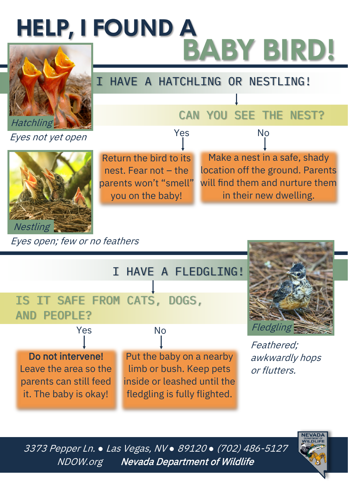## **HELP, I FOUND A** BABY BIRD!



Eyes not yet open



Eyes open; few or no feathers

IS IT SAFE FROM CATS, DOGS, AND PEOPLE? Do not intervene! Leave the area so the parents can still feed it. The baby is okay! Put the baby on a nearby limb or bush. Keep pets inside or leashed until the fledgling is fully flighted. I HAVE A FLEDGLING! Yes No

Return the bird to its nest. Fear not – the parents won't "smell" you on the baby!



CAN YOU SEE THE NEST?

Make a nest in a safe, shady location off the ground. Parents will find them and nurture them in their new dwelling.

Yes No

I HAVE A HATCHLING OR NESTLING!

Feathered; awkwardly hops or flutters.

3373 Pepper Ln. *●* Las Vegas, NV *●* 89120 *●* (702) 486-<sup>5127</sup> NDOW.org Nevada Department of Wildlife